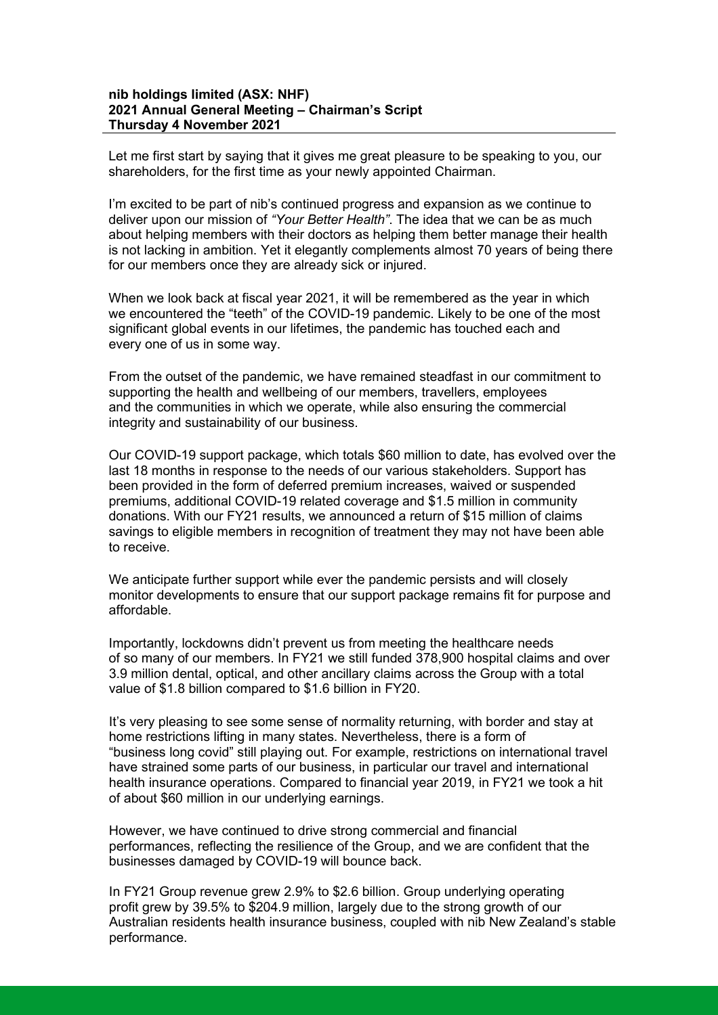## **nib holdings limited (ASX: NHF) 2021 Annual General Meeting – Chairman's Script Thursday 4 November 2021**

Let me first start by saying that it gives me great pleasure to be speaking to you, our shareholders, for the first time as your newly appointed Chairman.

I'm excited to be part of nib's continued progress and expansion as we continue to deliver upon our mission of *"Your Better Health"*. The idea that we can be as much about helping members with their doctors as helping them better manage their health is not lacking in ambition. Yet it elegantly complements almost 70 years of being there for our members once they are already sick or injured.

When we look back at fiscal year 2021, it will be remembered as the year in which we encountered the "teeth" of the COVID-19 pandemic. Likely to be one of the most significant global events in our lifetimes, the pandemic has touched each and every one of us in some way.

From the outset of the pandemic, we have remained steadfast in our commitment to supporting the health and wellbeing of our members, travellers, employees and the communities in which we operate, while also ensuring the commercial integrity and sustainability of our business.

Our COVID-19 support package, which totals \$60 million to date, has evolved over the last 18 months in response to the needs of our various stakeholders. Support has been provided in the form of deferred premium increases, waived or suspended premiums, additional COVID-19 related coverage and \$1.5 million in community donations. With our FY21 results, we announced a return of \$15 million of claims savings to eligible members in recognition of treatment they may not have been able to receive.

We anticipate further support while ever the pandemic persists and will closely monitor developments to ensure that our support package remains fit for purpose and affordable.

Importantly, lockdowns didn't prevent us from meeting the healthcare needs of so many of our members. In FY21 we still funded 378,900 hospital claims and over 3.9 million dental, optical, and other ancillary claims across the Group with a total value of \$1.8 billion compared to \$1.6 billion in FY20.

It's very pleasing to see some sense of normality returning, with border and stay at home restrictions lifting in many states. Nevertheless, there is a form of "business long covid" still playing out. For example, restrictions on international travel have strained some parts of our business, in particular our travel and international health insurance operations. Compared to financial year 2019, in FY21 we took a hit of about \$60 million in our underlying earnings.

However, we have continued to drive strong commercial and financial performances, reflecting the resilience of the Group, and we are confident that the businesses damaged by COVID-19 will bounce back.

In FY21 Group revenue grew 2.9% to \$2.6 billion. Group underlying operating profit grew by 39.5% to \$204.9 million, largely due to the strong growth of our Australian residents health insurance business, coupled with nib New Zealand's stable performance.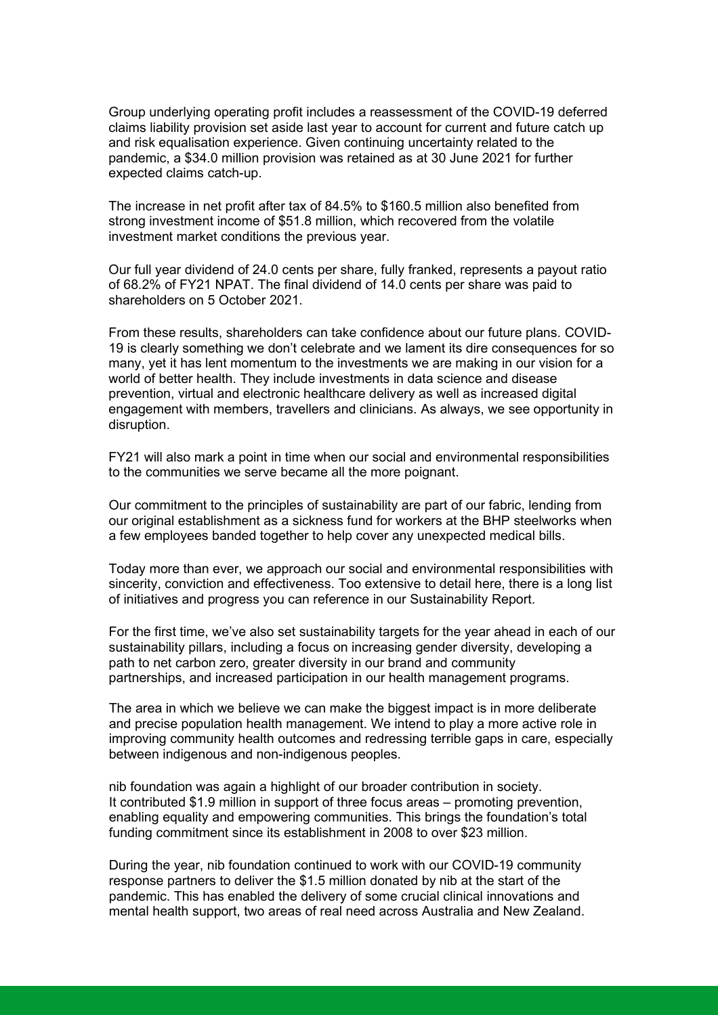Group underlying operating profit includes a reassessment of the COVID-19 deferred claims liability provision set aside last year to account for current and future catch up and risk equalisation experience. Given continuing uncertainty related to the pandemic, a \$34.0 million provision was retained as at 30 June 2021 for further expected claims catch-up.

The increase in net profit after tax of 84.5% to \$160.5 million also benefited from strong investment income of \$51.8 million, which recovered from the volatile investment market conditions the previous year.

Our full year dividend of 24.0 cents per share, fully franked, represents a payout ratio of 68.2% of FY21 NPAT. The final dividend of 14.0 cents per share was paid to shareholders on 5 October 2021.

From these results, shareholders can take confidence about our future plans. COVID-19 is clearly something we don't celebrate and we lament its dire consequences for so many, yet it has lent momentum to the investments we are making in our vision for a world of better health. They include investments in data science and disease prevention, virtual and electronic healthcare delivery as well as increased digital engagement with members, travellers and clinicians. As always, we see opportunity in disruption.

FY21 will also mark a point in time when our social and environmental responsibilities to the communities we serve became all the more poignant.

Our commitment to the principles of sustainability are part of our fabric, lending from our original establishment as a sickness fund for workers at the BHP steelworks when a few employees banded together to help cover any unexpected medical bills.

Today more than ever, we approach our social and environmental responsibilities with sincerity, conviction and effectiveness. Too extensive to detail here, there is a long list of initiatives and progress you can reference in our Sustainability Report.

For the first time, we've also set sustainability targets for the year ahead in each of our sustainability pillars, including a focus on increasing gender diversity, developing a path to net carbon zero, greater diversity in our brand and community partnerships, and increased participation in our health management programs.

The area in which we believe we can make the biggest impact is in more deliberate and precise population health management. We intend to play a more active role in improving community health outcomes and redressing terrible gaps in care, especially between indigenous and non-indigenous peoples.

nib foundation was again a highlight of our broader contribution in society. It contributed \$1.9 million in support of three focus areas – promoting prevention, enabling equality and empowering communities. This brings the foundation's total funding commitment since its establishment in 2008 to over \$23 million.

During the year, nib foundation continued to work with our COVID-19 community response partners to deliver the \$1.5 million donated by nib at the start of the pandemic. This has enabled the delivery of some crucial clinical innovations and mental health support, two areas of real need across Australia and New Zealand.